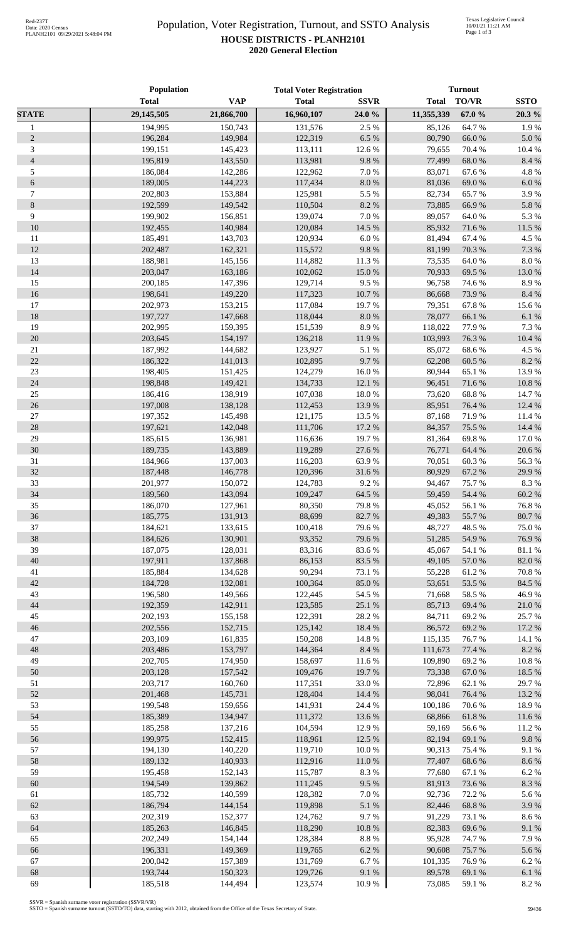## Population, Voter Registration, Turnout, and SSTO Analysis **HOUSE DISTRICTS - PLANH2101 2020 General Election**

|                | Population         |                    | <b>Total Voter Registration</b> |                 | <b>Turnout</b>   |                 |                 |
|----------------|--------------------|--------------------|---------------------------------|-----------------|------------------|-----------------|-----------------|
|                | <b>Total</b>       | <b>VAP</b>         | <b>Total</b>                    | <b>SSVR</b>     | <b>Total</b>     | <b>TO/VR</b>    | <b>SSTO</b>     |
| <b>STATE</b>   | 29,145,505         | 21,866,700         | 16,960,107                      | 24.0%           | 11,355,339       | 67.0%           | 20.3 %          |
| $\mathbf{1}$   | 194,995            | 150,743            | 131,576                         | 2.5 %           | 85,126           | 64.7%           | 1.9%            |
| $\sqrt{2}$     | 196,284            | 149.984            | 122,319                         | 6.5%            | 80,790           | 66.0%           | $5.0\ \%$       |
| 3              | 199,151            | 145,423            | 113,111                         | 12.6%           | 79,655           | 70.4 %          | 10.4 %          |
| $\overline{4}$ | 195,819            | 143,550            | 113,981                         | 9.8%            | 77,499           | 68.0%           | 8.4 %           |
| 5              | 186,084            | 142,286            | 122,962                         | 7.0%            | 83,071           | 67.6%           | 4.8%            |
| $\sqrt{6}$     | 189,005            | 144,223            | 117,434                         | $8.0\ \%$       | 81,036           | 69.0%           | $6.0\ \%$       |
| $\tau$         | 202,803            | 153,884            | 125,981                         | 5.5 %           | 82,734           | 65.7%           | 3.9%            |
| $\,8\,$        | 192,599            | 149,542            | 110,504                         | 8.2%            | 73,885           | 66.9%           | 5.8 %           |
| 9              | 199,902            | 156,851            | 139,074                         | 7.0 %           | 89,057           | 64.0%           | 5.3 %           |
| 10             | 192,455            | 140,984            | 120,084                         | 14.5 %          | 85,932           | 71.6%           | 11.5 %          |
| 11             | 185,491            | 143,703            | 120,934                         | $6.0\ \%$       | 81,494           | 67.4 %          | 4.5 %           |
| 12             | 202,487            | 162,321            | 115,572                         | 9.8%            | 81,199           | 70.3 %          | 7.3 %           |
| 13             | 188,981            | 145,156            | 114,882                         | 11.3%           | 73,535           | 64.0%           | 8.0%            |
| 14             | 203,047            | 163,186            | 102,062                         | 15.0%           | 70,933           | 69.5 %          | 13.0%           |
| 15             | 200,185            | 147,396            | 129,714                         | 9.5%            | 96,758           | 74.6 %          | 8.9%            |
| 16             | 198,641            | 149,220            | 117,323                         | 10.7 %          | 86,668           | 73.9%           | 8.4 %           |
| 17             | 202,973            | 153,215            | 117,084                         | 19.7%           | 79,351           | 67.8%           | 15.6%           |
| 18             | 197,727            | 147,668            | 118,044                         | 8.0%            | 78,077           | 66.1%           | 6.1%            |
| 19             | 202,995            | 159,395            | 151,539                         | 8.9%            | 118,022          | 77.9%           | 7.3 %           |
| 20             | 203,645            | 154,197            | 136,218                         | 11.9%           | 103,993          | 76.3%           | 10.4 %          |
| 21             | 187,992            | 144,682            | 123,927                         | 5.1 %           | 85,072           | 68.6%           | 4.5 %           |
| 22             | 186,322            | 141,013            | 102,895                         | 9.7%            | 62,208           | 60.5 %          | 8.2%            |
| 23             | 198,405            | 151,425            | 124,279                         | 16.0%           | 80,944           | 65.1 %          | 13.9%           |
| 24             | 198,848            | 149,421            | 134,733                         | 12.1 %          | 96,451           | 71.6%           | $10.8~\%$       |
| $25\,$         | 186,416            | 138,919            | 107,038                         | 18.0%           | 73,620           | 68.8%           | 14.7%           |
| 26             | 197,008            | 138,128            | 112,453                         | 13.9%           | 85,951           | 76.4 %          | 12.4 %          |
| $27\,$         | 197,352            | 145,498            | 121,175                         | 13.5 %          | 87,168           | 71.9%           | 11.4 %          |
| 28             | 197,621            | 142,048            | 111,706                         | 17.2 %          | 84,357           | 75.5 %          | 14.4 %          |
| 29             | 185,615            | 136,981            | 116,636                         | 19.7%           | 81,364           | 69.8%           | 17.0%           |
| 30             | 189,735            | 143,889            | 119,289                         | 27.6 %          | 76,771           | 64.4 %          | 20.6%           |
| 31             | 184,966            | 137,003            | 116,203                         | 63.9%           | 70,051           | 60.3%           | 56.3%           |
| 32             | 187,448            | 146,778            | 120,396                         | 31.6%           | 80,929           | 67.2 %          | 29.9%           |
| 33             | 201,977            | 150,072            | 124,783                         | 9.2%            | 94,467           | 75.7%           | 8.3%            |
| 34             | 189,560            | 143,094            | 109,247                         | 64.5 %          | 59,459           | 54.4 %          | 60.2%           |
| 35             | 186,070            | 127,961            | 80,350                          | 79.8%           | 45,052           | 56.1%           | 76.8%           |
| 36             | 185,775            | 131,913            | 88,699                          | 82.7%           | 49,383           | 55.7%           | 80.7%           |
| 37             | 184,621            | 133,615            | 100,418                         | 79.6%           | 48,727           | 48.5 %          | 75.0%           |
| 38<br>39       | 184,626            | 130,901            | 93,352<br>83,316                | 79.6%           | 51,285           | 54.9%           | 76.9%<br>81.1 % |
| 40             | 187,075<br>197,911 | 128,031<br>137,868 | 86,153                          | 83.6%<br>83.5 % | 45,067<br>49,105 | 54.1 %<br>57.0% | $82.0\;\%$      |
| 41             | 185,884            | 134,628            | 90,294                          | 73.1 %          | 55,228           | 61.2%           | 70.8 %          |
| 42             | 184,728            | 132,081            | 100,364                         | 85.0%           | 53,651           | 53.5 %          | 84.5 %          |
| 43             | 196,580            | 149,566            | 122,445                         | 54.5 %          | 71,668           | 58.5 %          | 46.9%           |
| 44             | 192,359            | 142,911            | 123,585                         | 25.1 %          | 85,713           | 69.4 %          | 21.0%           |
| 45             | 202,193            | 155,158            | 122,391                         | 28.2 %          | 84,711           | 69.2%           | 25.7%           |
| 46             | 202,556            | 152,715            | 125,142                         | 18.4 %          | 86,572           | 69.2%           | 17.2 %          |
| $47\,$         | 203,109            | 161,835            | 150,208                         | 14.8 %          | 115,135          | 76.7%           | 14.1 %          |
| 48             | 203,486            | 153,797            | 144,364                         | $8.4~\%$        | 111,673          | 77.4 %          | 8.2 %           |
| 49             | 202,705            | 174,950            | 158,697                         | $11.6\ \%$      | 109,890          | 69.2%           | $10.8~\%$       |
| 50             | 203,128            | 157,542            | 109,476                         | 19.7%           | 73,338           | 67.0%           | 18.5 %          |
| 51             | 203,717            | 160,760            | 117,351                         | $33.0\ \%$      | 72,896           | 62.1 %          | 29.7%           |
| 52             | 201,468            | 145,731            | 128,404                         | 14.4 %          | 98,041           | 76.4 %          | 13.2 %          |
| 53             | 199,548            | 159,656            | 141,931                         | 24.4 %          | 100,186          | 70.6%           | 18.9%           |
| 54             | 185,389            | 134,947            | 111,372                         | 13.6 %          | 68,866           | 61.8%           | 11.6 %          |
| 55             | 185,258            | 137,216            | 104,594                         | 12.9%           | 59,169           | 56.6%           | 11.2 %          |
| 56             | 199,975            | 152,415            | 118,961                         | 12.5 %          | 82,194           | 69.1 %          | $9.8\ \%$       |
| 57             | 194,130            | 140,220            | 119,710                         | 10.0%           | 90,313           | 75.4 %          | 9.1%            |
| 58             | 189,132            | 140,933            | 112,916                         | $11.0\ \%$      | 77,407           | 68.6%           | 8.6 %           |
| 59             | 195,458            | 152,143            | 115,787                         | 8.3 %           | 77,680           | 67.1 %          | 6.2%            |
| 60             | 194,549            | 139,862            | 111,245                         | 9.5%            | 81,913           | 73.6%           | 8.3 %           |
| 61             | 185,732            | 140,599            | 128,382                         | $7.0\ \%$       | 92,736           | 72.2 %          | 5.6%            |
| 62             | 186,794            | 144,154            | 119,898                         | 5.1 %           | 82,446           | 68.8%           | 3.9%            |
| 63             | 202,319            | 152,377            | 124,762                         | 9.7%            | 91,229           | 73.1 %          | 8.6%            |
| 64             | 185,263            | 146,845            | 118,290                         | $10.8~\%$       | 82,383           | 69.6%           | 9.1 %           |
| 65             | 202,249            | 154,144            | 128,384                         | 8.8%            | 95,928           | 74.7 %          | 7.9%            |
| 66             | 196,331            | 149,369            | 119,765                         | 6.2 %           | 90,608           | 75.7 %          | 5.6 %           |
| 67             | 200,042            | 157,389            | 131,769                         | 6.7%            | 101,335          | 76.9%           | 6.2%            |
| 68             | 193,744            | 150,323            | 129,726                         | 9.1 %           | 89,578           | 69.1 %          | 6.1%            |
| 69             | 185,518            | 144,494            | 123,574                         | 10.9%           | 73,085           | 59.1 %          | 8.2%            |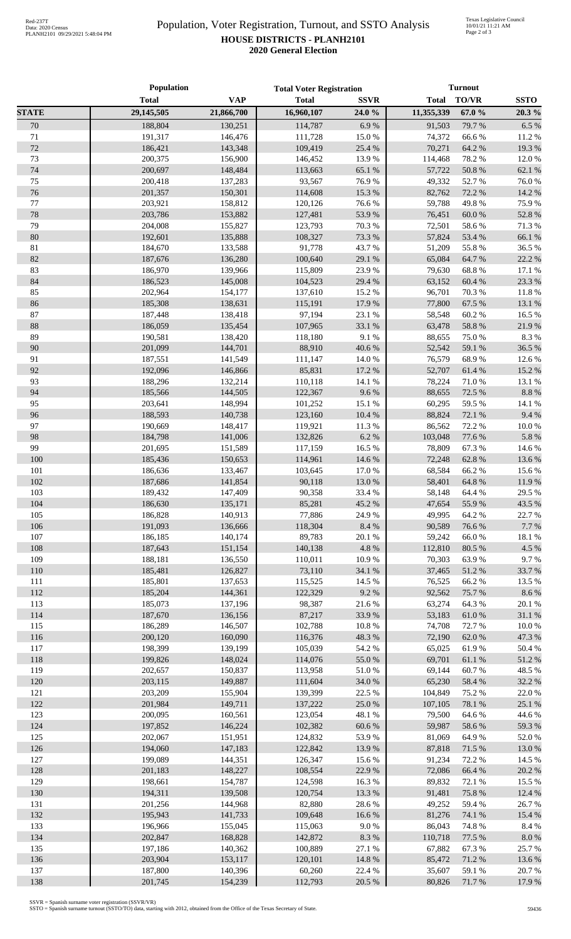## Population, Voter Registration, Turnout, and SSTO Analysis **HOUSE DISTRICTS - PLANH2101 2020 General Election**

|              | Population         |                    | <b>Total Voter Registration</b> |                  | <b>Turnout</b>   |                 |                  |
|--------------|--------------------|--------------------|---------------------------------|------------------|------------------|-----------------|------------------|
|              | <b>Total</b>       | <b>VAP</b>         | <b>Total</b>                    | <b>SSVR</b>      | Total            | <b>TO/VR</b>    | <b>SSTO</b>      |
| <b>STATE</b> | 29,145,505         | 21,866,700         | 16,960,107                      | 24.0 %           | 11,355,339       | 67.0%           | 20.3 %           |
| 70           | 188,804            | 130,251            | 114,787                         | 6.9%             | 91,503           | 79.7 %          | 6.5 %            |
| 71           | 191,317            | 146,476            | 111,728                         | $15.0\ \%$       | 74,372           | 66.6%           | 11.2%            |
| 72           | 186,421            | 143,348            | 109,419                         | 25.4 %           | 70,271           | 64.2 %          | 19.3%            |
| 73           | 200,375            | 156,900            | 146,452                         | 13.9%            | 114,468          | 78.2%           | 12.0%            |
| 74           | 200,697            | 148,484            | 113,663                         | 65.1 %           | 57,722           | $50.8~\%$       | 62.1%            |
| 75           | 200,418            | 137,283            | 93,567                          | 76.9%            | 49,332           | 52.7%           | 76.0%            |
| 76           | 201,357            | 150,301            | 114,608                         | 15.3 %           | 82,762           | 72.2 %          | 14.2 %           |
| 77           | 203,921            | 158,812            | 120,126                         | 76.6%            | 59,788           | 49.8%           | 75.9%            |
| 78           | 203,786            | 153,882            | 127,481                         | 53.9%            | 76,451           | 60.0%           | 52.8%            |
| 79           | 204,008            | 155,827            | 123,793                         | 70.3%            | 72,501           | $58.6\;\%$      | $71.3\text{ }\%$ |
| 80           | 192,601            | 135,888            | 108,327                         | 73.3 %           | 57,824           | 53.4 %          | 66.1 %           |
| 81           | 184,670            | 133,588            | 91,778                          | 43.7%            | 51,209           | 55.8%           | 36.5%            |
| 82           | 187,676            | 136,280            | 100,640                         | 29.1 %           | 65,084           | 64.7%           | 22.2 %           |
| 83           | 186,970            | 139,966            | 115,809                         | 23.9%            | 79,630           | 68.8%           | 17.1 %           |
| 84           | 186,523            | 145,008            | 104,523                         | 29.4 %           | 63,152           | 60.4%           | 23.3 %           |
| 85           | 202,964            | 154,177            | 137,610                         | 15.2 %           | 96,701           | 70.3%           | 11.8%            |
| 86           | 185,308            | 138,631            | 115,191                         | 17.9%            | 77,800           | 67.5 %          | 13.1 %           |
| 87<br>88     | 187,448<br>186,059 | 138,418            | 97,194<br>107,965               | 23.1 %<br>33.1 % | 58,548           | 60.2%           | 16.5 %<br>21.9%  |
| 89           | 190,581            | 135,454<br>138,420 | 118,180                         | 9.1%             | 63,478<br>88,655 | 58.8%<br>75.0%  | 8.3%             |
| 90           | 201,099            | 144,701            | 88,910                          | 40.6 %           | 52,542           | 59.1 %          | 36.5 %           |
| 91           | 187,551            | 141,549            | 111,147                         | 14.0%            | 76,579           | 68.9%           | 12.6 %           |
| 92           | 192,096            | 146,866            | 85,831                          | 17.2 %           | 52,707           | 61.4%           | 15.2 %           |
| 93           | 188,296            | 132,214            | 110,118                         | 14.1 %           | 78,224           | 71.0%           | 13.1 %           |
| 94           | 185,566            | 144,505            | 122,367                         | 9.6%             | 88,655           | 72.5 %          | $8.8~\%$         |
| 95           | 203,641            | 148,994            | 101,252                         | 15.1 %           | 60,295           | 59.5 %          | 14.1 %           |
| 96           | 188,593            | 140,738            | 123,160                         | 10.4 %           | 88,824           | 72.1 %          | 9.4%             |
| 97           | 190,669            | 148,417            | 119,921                         | 11.3 %           | 86,562           | 72.2 %          | 10.0%            |
| 98           | 184,798            | 141,006            | 132,826                         | 6.2%             | 103,048          | 77.6 %          | 5.8 %            |
| 99           | 201,695            | 151,589            | 117,159                         | 16.5 %           | 78,809           | 67.3%           | 14.6 %           |
| 100          | 185,436            | 150,653            | 114,961                         | 14.6 %           | 72,248           | 62.8%           | 13.6%            |
| 101          | 186,636            | 133,467            | 103,645                         | $17.0\ \%$       | 68,584           | 66.2%           | 15.6 %           |
| 102          | 187,686            | 141,854            | 90,118                          | 13.0%            | 58,401           | 64.8%           | 11.9%            |
| 103          | 189,432            | 147,409            | 90,358                          | 33.4 %           | 58,148           | 64.4 %          | 29.5 %           |
| 104          | 186,630            | 135,171            | 85,281                          | 45.2%            | 47,654           | 55.9%           | 43.5 %           |
| 105          | 186,828            | 140,913            | 77,886                          | 24.9%            | 49,995           | 64.2%           | 22.7 %           |
| 106          | 191,093            | 136,666            | 118,304                         | 8.4 %            | 90,589           | 76.6%           | 7.7%             |
| 107          | 186,185            | 140,174            | 89,783                          | 20.1 %           | 59,242           | 66.0%           | 18.1 %           |
| 108          | 187,643            | 151,154            | 140,138                         | 4.8 %            | 112,810          | 80.5%           | 4.5 %            |
| 109          | 188,181            | 136,550            | 110,011                         | $10.9\ \%$       | 70,303           | 63.9%           | 9.7%             |
| 110          | 185,481            | 126,827            | 73,110                          | 34.1 %           | 37,465           | 51.2%           | 33.7%            |
| 111<br>112   | 185,801<br>185,204 | 137,653<br>144,361 | 115,525<br>122,329              | 14.5 %<br>9.2%   | 76,525<br>92,562 | 66.2%           | 13.5 %<br>8.6 %  |
| 113          | 185,073            | 137,196            | 98,387                          | 21.6%            | 63,274           | 75.7 %<br>64.3% | 20.1 %           |
| 114          | 187,670            | 136,156            | 87,217                          | 33.9%            | 53,183           | 61.0%           | 31.1 %           |
| 115          | 186,289            | 146,507            | 102,788                         | $10.8~\%$        | 74,708           | 72.7 %          | $10.0~\%$        |
| 116          | 200,120            | 160,090            | 116,376                         | 48.3 %           | 72,190           | 62.0 %          | 47.3 %           |
| 117          | 198,399            | 139,199            | 105,039                         | 54.2 %           | 65,025           | 61.9%           | 50.4 %           |
| 118          | 199,826            | 148,024            | 114,076                         | 55.0%            | 69,701           | 61.1%           | 51.2 %           |
| 119          | 202,657            | 150,837            | 113,958                         | $51.0\ \%$       | 69,144           | 60.7%           | 48.5 %           |
| 120          | 203,115            | 149,887            | 111,604                         | 34.0 %           | 65,230           | 58.4 %          | 32.2 %           |
| 121          | 203,209            | 155,904            | 139,399                         | 22.5 %           | 104,849          | 75.2 %          | 22.0%            |
| 122          | 201,984            | 149,711            | 137,222                         | 25.0 %           | 107,105          | 78.1 %          | 25.1 %           |
| 123          | 200,095            | 160,561            | 123,054                         | 48.1 %           | 79,500           | 64.6%           | 44.6 %           |
| 124          | 197,852            | 146,224            | 102,382                         | 60.6%            | 59,987           | 58.6%           | 59.3 %           |
| 125          | 202,067            | 151,951            | 124,832                         | 53.9%            | 81,069           | 64.9%           | 52.0%            |
| 126          | 194,060            | 147,183            | 122,842                         | 13.9%            | 87,818           | 71.5 %          | 13.0 %           |
| 127          | 199,089            | 144,351            | 126,347                         | 15.6 %           | 91,234           | 72.2 %          | 14.5 %           |
| 128          | 201,183            | 148,227            | 108,554                         | 22.9%            | 72,086           | 66.4 %          | 20.2 %           |
| 129          | 198,661            | 154,787            | 124,598                         | 16.3 %           | 89,832           | 72.1 %          | 15.5 %           |
| 130          | 194,311            | 139,508            | 120,754                         | 13.3 %           | 91,481           | 75.8%           | 12.4 %           |
| 131          | 201,256            | 144,968            | 82,880                          | 28.6%            | 49,252           | 59.4 %          | 26.7%            |
| 132          | 195,943            | 141,733            | 109,648                         | 16.6%            | 81,276           | 74.1 %          | 15.4 %           |
| 133          | 196,966            | 155,045            | 115,063                         | 9.0%             | 86,043           | 74.8%           | 8.4%             |
| 134          | 202,847            | 168,828            | 142,872                         | 8.3%             | 110,718          | 77.5 %          | $8.0\ \%$        |
| 135<br>136   | 197,186<br>203,904 | 140,362<br>153,117 | 100,889<br>120,101              | 27.1 %<br>14.8 % | 67,882<br>85,472 | 67.3%<br>71.2%  | 25.7%<br>13.6 %  |
| 137          | 187,800            | 140,396            | 60,260                          | 22.4 %           | 35,607           | 59.1 %          | 20.7%            |
| 138          | 201,745            | 154,239            | 112,793                         | $20.5~\%$        | 80,826           | 71.7%           | 17.9%            |
|              |                    |                    |                                 |                  |                  |                 |                  |